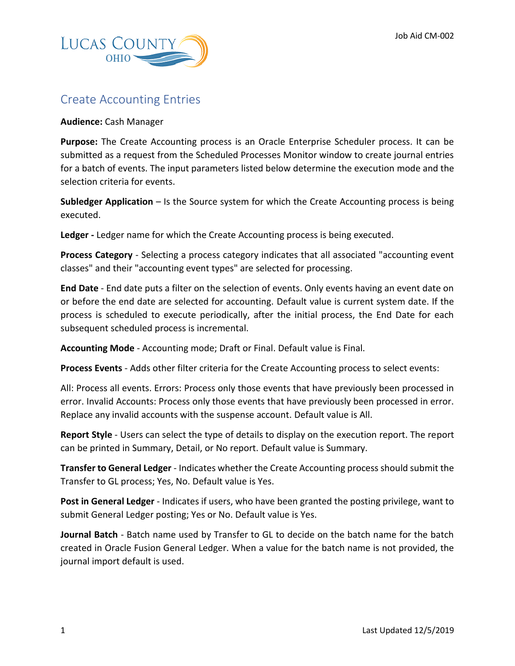

## Create Accounting Entries

## **Audience:** Cash Manager

**Purpose:** The Create Accounting process is an Oracle Enterprise Scheduler process. It can be submitted as a request from the Scheduled Processes Monitor window to create journal entries for a batch of events. The input parameters listed below determine the execution mode and the selection criteria for events.

**Subledger Application** – Is the Source system for which the Create Accounting process is being executed.

**Ledger -** Ledger name for which the Create Accounting process is being executed.

**Process Category** - Selecting a process category indicates that all associated "accounting event classes" and their "accounting event types" are selected for processing.

**End Date** - End date puts a filter on the selection of events. Only events having an event date on or before the end date are selected for accounting. Default value is current system date. If the process is scheduled to execute periodically, after the initial process, the End Date for each subsequent scheduled process is incremental.

**Accounting Mode** - Accounting mode; Draft or Final. Default value is Final.

**Process Events** - Adds other filter criteria for the Create Accounting process to select events:

All: Process all events. Errors: Process only those events that have previously been processed in error. Invalid Accounts: Process only those events that have previously been processed in error. Replace any invalid accounts with the suspense account. Default value is All.

**Report Style** - Users can select the type of details to display on the execution report. The report can be printed in Summary, Detail, or No report. Default value is Summary.

**Transfer to General Ledger** - Indicates whether the Create Accounting process should submit the Transfer to GL process; Yes, No. Default value is Yes.

**Post in General Ledger** - Indicates if users, who have been granted the posting privilege, want to submit General Ledger posting; Yes or No. Default value is Yes.

**Journal Batch** - Batch name used by Transfer to GL to decide on the batch name for the batch created in Oracle Fusion General Ledger. When a value for the batch name is not provided, the journal import default is used.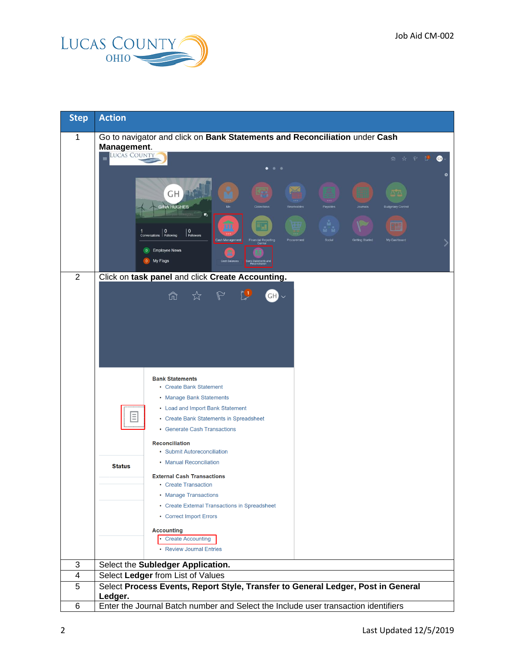